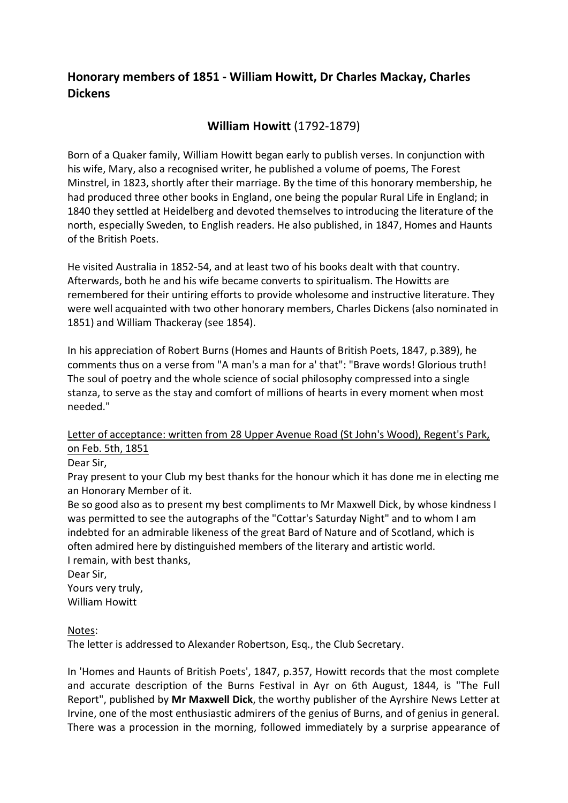# **Honorary members of 1851 - William Howitt, Dr Charles Mackay, Charles Dickens**

## **William Howitt** (1792-1879)

Born of a Quaker family, William Howitt began early to publish verses. In conjunction with his wife, Mary, also a recognised writer, he published a volume of poems, The Forest Minstrel, in 1823, shortly after their marriage. By the time of this honorary membership, he had produced three other books in England, one being the popular Rural Life in England; in 1840 they settled at Heidelberg and devoted themselves to introducing the literature of the north, especially Sweden, to English readers. He also published, in 1847, Homes and Haunts of the British Poets.

He visited Australia in 1852-54, and at least two of his books dealt with that country. Afterwards, both he and his wife became converts to spiritualism. The Howitts are remembered for their untiring efforts to provide wholesome and instructive literature. They were well acquainted with two other honorary members, Charles Dickens (also nominated in 1851) and William Thackeray (see 1854).

In his appreciation of Robert Burns (Homes and Haunts of British Poets, 1847, p.389), he comments thus on a verse from "A man's a man for a' that": "Brave words! Glorious truth! The soul of poetry and the whole science of social philosophy compressed into a single stanza, to serve as the stay and comfort of millions of hearts in every moment when most needed."

Letter of acceptance: written from 28 Upper Avenue Road (St John's Wood), Regent's Park, on Feb. 5th, 1851

Dear Sir,

Pray present to your Club my best thanks for the honour which it has done me in electing me an Honorary Member of it.

Be so good also as to present my best compliments to Mr Maxwell Dick, by whose kindness I was permitted to see the autographs of the "Cottar's Saturday Night" and to whom I am indebted for an admirable likeness of the great Bard of Nature and of Scotland, which is often admired here by distinguished members of the literary and artistic world.

I remain, with best thanks,

Dear Sir,

Yours very truly, William Howitt

Notes:

The letter is addressed to Alexander Robertson, Esq., the Club Secretary.

In 'Homes and Haunts of British Poets', 1847, p.357, Howitt records that the most complete and accurate description of the Burns Festival in Ayr on 6th August, 1844, is "The Full Report", published by **Mr Maxwell Dick**, the worthy publisher of the Ayrshire News Letter at Irvine, one of the most enthusiastic admirers of the genius of Burns, and of genius in general. There was a procession in the morning, followed immediately by a surprise appearance of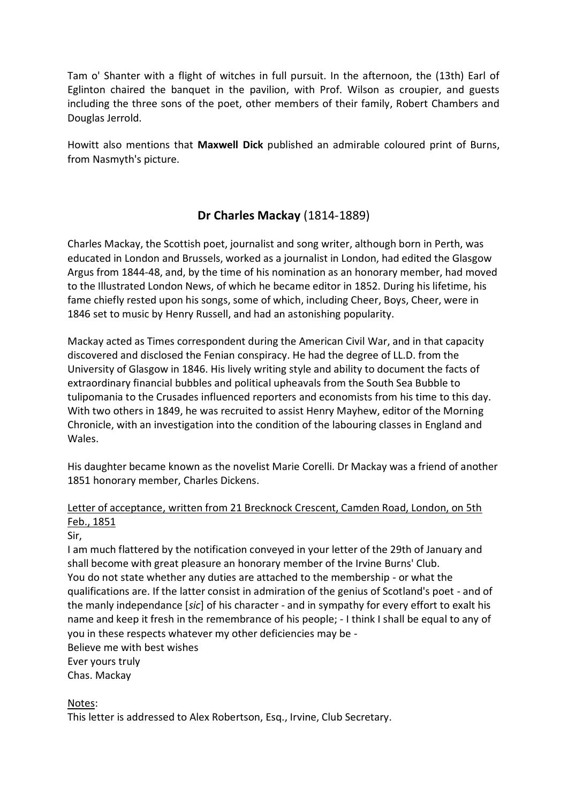Tam o' Shanter with a flight of witches in full pursuit. In the afternoon, the (13th) Earl of Eglinton chaired the banquet in the pavilion, with Prof. Wilson as croupier, and guests including the three sons of the poet, other members of their family, Robert Chambers and Douglas Jerrold.

Howitt also mentions that **Maxwell Dick** published an admirable coloured print of Burns, from Nasmyth's picture.

# **Dr Charles Mackay** (1814-1889)

Charles Mackay, the Scottish poet, journalist and song writer, although born in Perth, was educated in London and Brussels, worked as a journalist in London, had edited the Glasgow Argus from 1844-48, and, by the time of his nomination as an honorary member, had moved to the Illustrated London News, of which he became editor in 1852. During his lifetime, his fame chiefly rested upon his songs, some of which, including Cheer, Boys, Cheer, were in 1846 set to music by Henry Russell, and had an astonishing popularity.

Mackay acted as Times correspondent during the American Civil War, and in that capacity discovered and disclosed the Fenian conspiracy. He had the degree of LL.D. from the University of Glasgow in 1846. His lively writing style and ability to document the facts of extraordinary financial bubbles and political upheavals from the South Sea Bubble to tulipomania to the Crusades influenced reporters and economists from his time to this day. With two others in 1849, he was recruited to assist Henry Mayhew, editor of the Morning Chronicle, with an investigation into the condition of the labouring classes in England and Wales.

His daughter became known as the novelist Marie Corelli. Dr Mackay was a friend of another 1851 honorary member, Charles Dickens.

### Letter of acceptance, written from 21 Brecknock Crescent, Camden Road, London, on 5th Feb., 1851

Sir,

I am much flattered by the notification conveyed in your letter of the 29th of January and shall become with great pleasure an honorary member of the Irvine Burns' Club. You do not state whether any duties are attached to the membership - or what the qualifications are. If the latter consist in admiration of the genius of Scotland's poet - and of the manly independance [*sic*] of his character - and in sympathy for every effort to exalt his name and keep it fresh in the remembrance of his people; - I think I shall be equal to any of you in these respects whatever my other deficiencies may be - Believe me with best wishes

Ever yours truly Chas. Mackay

Notes:

This letter is addressed to Alex Robertson, Esq., Irvine, Club Secretary.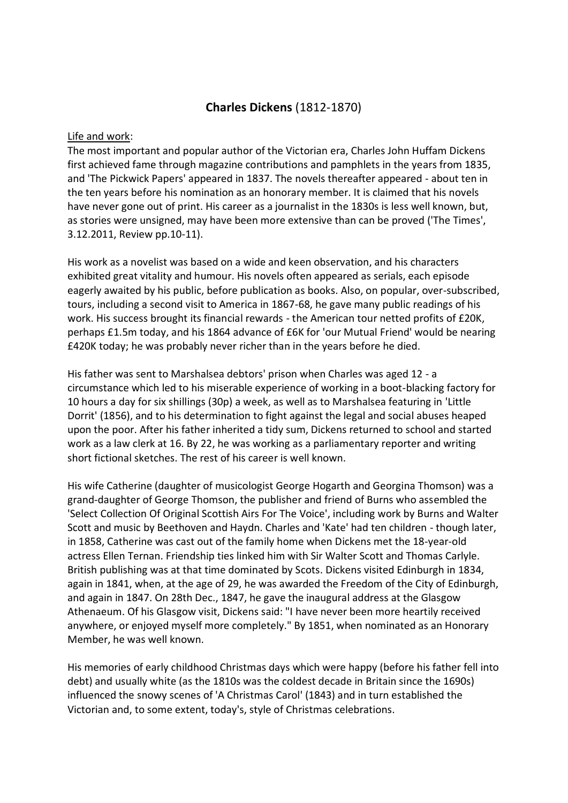## **Charles Dickens** (1812-1870)

#### Life and work:

The most important and popular author of the Victorian era, Charles John Huffam Dickens first achieved fame through magazine contributions and pamphlets in the years from 1835, and 'The Pickwick Papers' appeared in 1837. The novels thereafter appeared - about ten in the ten years before his nomination as an honorary member. It is claimed that his novels have never gone out of print. His career as a journalist in the 1830s is less well known, but, as stories were unsigned, may have been more extensive than can be proved ('The Times', 3.12.2011, Review pp.10-11).

His work as a novelist was based on a wide and keen observation, and his characters exhibited great vitality and humour. His novels often appeared as serials, each episode eagerly awaited by his public, before publication as books. Also, on popular, over-subscribed, tours, including a second visit to America in 1867-68, he gave many public readings of his work. His success brought its financial rewards - the American tour netted profits of £20K, perhaps £1.5m today, and his 1864 advance of £6K for 'our Mutual Friend' would be nearing £420K today; he was probably never richer than in the years before he died.

His father was sent to Marshalsea debtors' prison when Charles was aged 12 - a circumstance which led to his miserable experience of working in a boot-blacking factory for 10 hours a day for six shillings (30p) a week, as well as to Marshalsea featuring in 'Little Dorrit' (1856), and to his determination to fight against the legal and social abuses heaped upon the poor. After his father inherited a tidy sum, Dickens returned to school and started work as a law clerk at 16. By 22, he was working as a parliamentary reporter and writing short fictional sketches. The rest of his career is well known.

His wife Catherine (daughter of musicologist George Hogarth and Georgina Thomson) was a grand-daughter of George Thomson, the publisher and friend of Burns who assembled the 'Select Collection Of Original Scottish Airs For The Voice', including work by Burns and Walter Scott and music by Beethoven and Haydn. Charles and 'Kate' had ten children - though later, in 1858, Catherine was cast out of the family home when Dickens met the 18-year-old actress Ellen Ternan. Friendship ties linked him with Sir Walter Scott and Thomas Carlyle. British publishing was at that time dominated by Scots. Dickens visited Edinburgh in 1834, again in 1841, when, at the age of 29, he was awarded the Freedom of the City of Edinburgh, and again in 1847. On 28th Dec., 1847, he gave the inaugural address at the Glasgow Athenaeum. Of his Glasgow visit, Dickens said: "I have never been more heartily received anywhere, or enjoyed myself more completely." By 1851, when nominated as an Honorary Member, he was well known.

His memories of early childhood Christmas days which were happy (before his father fell into debt) and usually white (as the 1810s was the coldest decade in Britain since the 1690s) influenced the snowy scenes of 'A Christmas Carol' (1843) and in turn established the Victorian and, to some extent, today's, style of Christmas celebrations.